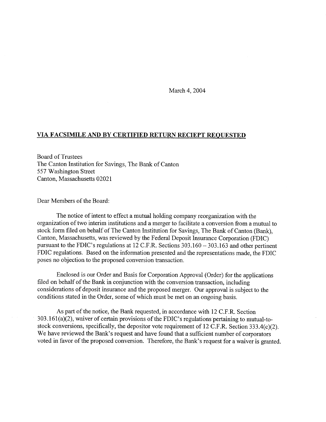March 4, 2004

## **VIA FACSIMILE AND BY CERTIFIED RETURN RECIEPT REQUESTED**

Board of Trustees The Canton Institution for Savings, The Bank of Canton *557* Washington Street Canton, Massachusetts 02021

Dear Members of the Board:

The notice of intent to effect a mutual holding company reorganization with the organization of two interim institutions and a merger to facilitate a conversion from a mutual to stock form filed on behalf of The Canton Institution for Savings, The Bank of Canton (Bank), Canton, Massachusetts, was reviewed by the Federal Deposit Insurance Corporation (FDIC) pursuant to the FDIC's regulations at 12 C.F.R. Sections 303.160 - 303.163 and other pertinent FDIC regulations. Based on the information presented and the representations made, the FDIC poses no objection to the proposed conversion transaction.

Enclosed is our Order and Basis for Corporation Approval (Order) for the applications filed on behalf of the Bank in conjunction with the conversion transaction, including considerations of deposit insurance and the proposed merger. Our approval is subject to the conditions stated in the Order, some of which must be met on an ongoing basis.

As part of the notice, the Bank requested, in accordance with 12 C.F.R. Section 303.161(a)(2), waiver of certain provisions of the FDIC's regulations pertaining to mutual-tostock conversions, specifically, the depositor vote requirement of 12 C.F.R. Section 333.4(c)(2). We have reviewed the Bank's request and have found that a sufficient number of corporators voted in favor of the proposed conversion. Therefore, the Bank's request for a waiver is granted.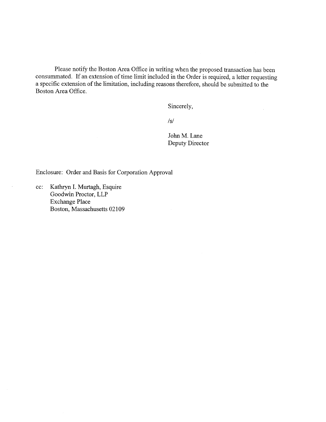Please notify the Boston Area Office in writing when the proposed transaction has been consummated. If an extension of time limit included in the Order is required, a letter requesting a specific extension of the limitation, including reasons therefore, should be submitted to the Boston Area Office.

Sincerely,

 $/S/$ 

John M. Lane Deputy Director  $\bar{\mathcal{L}}$ 

Enclosure: Order and Basis for Corporation Approval

cc: Kathryn I. Murtagh, Esquire Goodwin Proctor, LLP Exchange Place Boston, Massachusetts 02109

 $\bar{z}$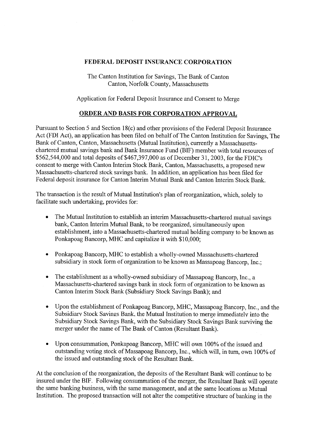## **FEDERAL DEPOSIT INSURANCE CORPORATION**

The Canton Institution for Savings, The Bank of Canton Canton, Norfolk County, Massachusetts

Application for Federal Deposit Insurance and Consent to Merge

## **ORDER AND BASIS FOR CORPORATION APPROVAL**

Pursuant to Section 5 and Section 18(c) and other provisions of the Federal Deposit Insurance Act (FDI Act), an application has been filed on behalf of The Canton Institution for Savings, The Bank of Canton, Canton, Massachusetts (Mutual Institution), currently a Massachusettschartered mutual savings bank and Bank Insurance Fund (BIF) member with total resources of \$562,544,000 and total deposits of \$467,397,000 as of December 31, 2003, for the FDIC's consent to merge with Canton Interim Stock Bank, Canton, Massachusetts, a proposed new Massachusetts-chartered stock savings bank. In addition, an application has been filed for Federal deposit insurance for Canton Interim Mutual Bank and Canton Interim Stock Bank.

The transaction is the result of Mutual Institution's plan of reorganization, which, solely to facilitate such undertaking, provides for:

- The Mutual Institution to establish an interim Massachusetts-chartered mutual savings bank, Canton Interim Mutual Bank, to be reorganized, simultaneously upon establishment, into a Massachusetts-chartered mutual holding company to be known as Ponkapoag Bancorp, MHC and capitalize it with \$10,000;
- Ponkapoag Bancorp, MHC to establish a wholly-owned Massachusetts-chartered subsidiary in stock form of organization to be known as Massapoag Bancorp, Inc.;
- The establishment as a wholly-owned subsidiary of Massapoag Bancorp, Inc., a Massachusetts-chartered savings bank in stock form of organization to be known as Canton Interim Stock Bank (Subsidiary Stock Savings Bank); and
- Upon the establishment of Ponkapoag Bancorp, MHC, Massapoag Bancorp, Inc., and the Subsidiary Stock Savings Bank, the Mutual Institution to merge immediately into the Subsidiary Stock Savings Bank, with the Subsidiary Stock Savings Bank surviving the merger under the name of The Bank of Canton (Resultant Bank).
- Upon consummation, Ponkapoag Bancorp, MHC will own 100% of the issued and outstanding voting stock of Massapoag Bancorp, Inc., which will, in turn, own 100% of the issued and outstanding stock of the Resultant Bank.

At the conclusion of the reorganization, the deposits of the Resultant Bank will continue to be insured under the BIF. Following consummation of the merger, the Resultant Bank will operate the same banking business, with the same management, and at the same locations as Mutual Institution. The proposed transaction will not alter the competitive structure of banking in the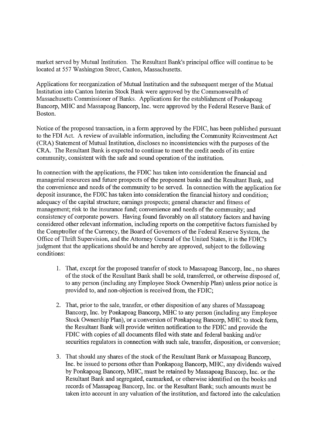market served by Mutual Institution. The Resultant Bank's principal office will continue to be located at *557* Washington Street, Canton, Massachusetts.

Applications for reorganization of Mutual Institution and the subsequent merger of the Mutual Institution into Canton Interim Stock Bank were approved by the Commonwealth of Massachusetts Commissioner of Banks. Applications for the establishment of Ponkapoag Bancorp, MHC and Massapoag Bancorp, Inc. were approved by the Federal Reserve Bank of Boston.

Notice of the proposed transaction, in a form approved by the FDIC, has been published pursuant to the FDI Act. A review of available information, including the Community Reinvestment Act (CRA) Statement of Mutual Institution, discloses no inconsistencies with the purposes of the CRA. The Resultant Bank is expected to continue to meet the credit needs of its entire community, consistent with the safe and sound operation of the institution.

In connection with the applications, the FDIC has taken into consideration the financial and managerial resources and future prospects of the proponent banks and the Resultant Bank, and the convenience and needs of the community to be served. In connection with the application for deposit insurance, the FDIC has taken into consideration the financial history and condition; adequacy of the capital structure; earnings prospects; general character and fitness of management; risk to the insurance fund; convenience and needs of the community; and consistency of corporate powers. Having found favorably on all statutory factors and having considered other relevant information, including reports on the competitive factors furnished by the Comptroller of the Currency, the Board of Governors of the Federal Reserve System, the Office of Thrift Supervision, and the Attorney General of the United States, it is the FDIC's judgment that the applications should be and hereby are approved, subject to the following conditions:

- 1. That, except for the proposed transfer of stock to Massapoag Bancorp, Inc., no shares of the stock of the Resultant Bank shall be sold, transferred, or otherwise disposed of, to any person (including any Employee Stock Ownership Plan) unless prior notice is provided to, and non-objection is received from, the FDIC;
- 2. That, prior to the sale, transfer, or other disposition of any shares of Massapoag Bancorp, Inc. by Ponkapoag Bancorp, MHC to any person (including any Employee Stock Ownership Plan), or a conversion of Ponkapoag Bancorp, MHC to stock form, the Resultant Bank will provide written notification to the FDIC and provide the FDIC with copies of all documents filed with state and federal banking and/or securities regulators in connection with such sale, transfer, disposition, or conversion;
- 3. That should any shares of the stock of the Resultant Bank or Massapoag Bancorp, Inc. be issued to persons other than Ponkapoag Bancorp, MHC, any dividends waived by Ponkapoag Bancorp, MHC, must be retained by Massapoag Bancorp, Inc. or the Resultant Bank and segregated, earmarked, or otherwise identified on the books and records of Massapoag Bancorp, Inc. or the Resultant Bank; such amounts must be taken into account in any valuation of the institution, and factored into the calculation